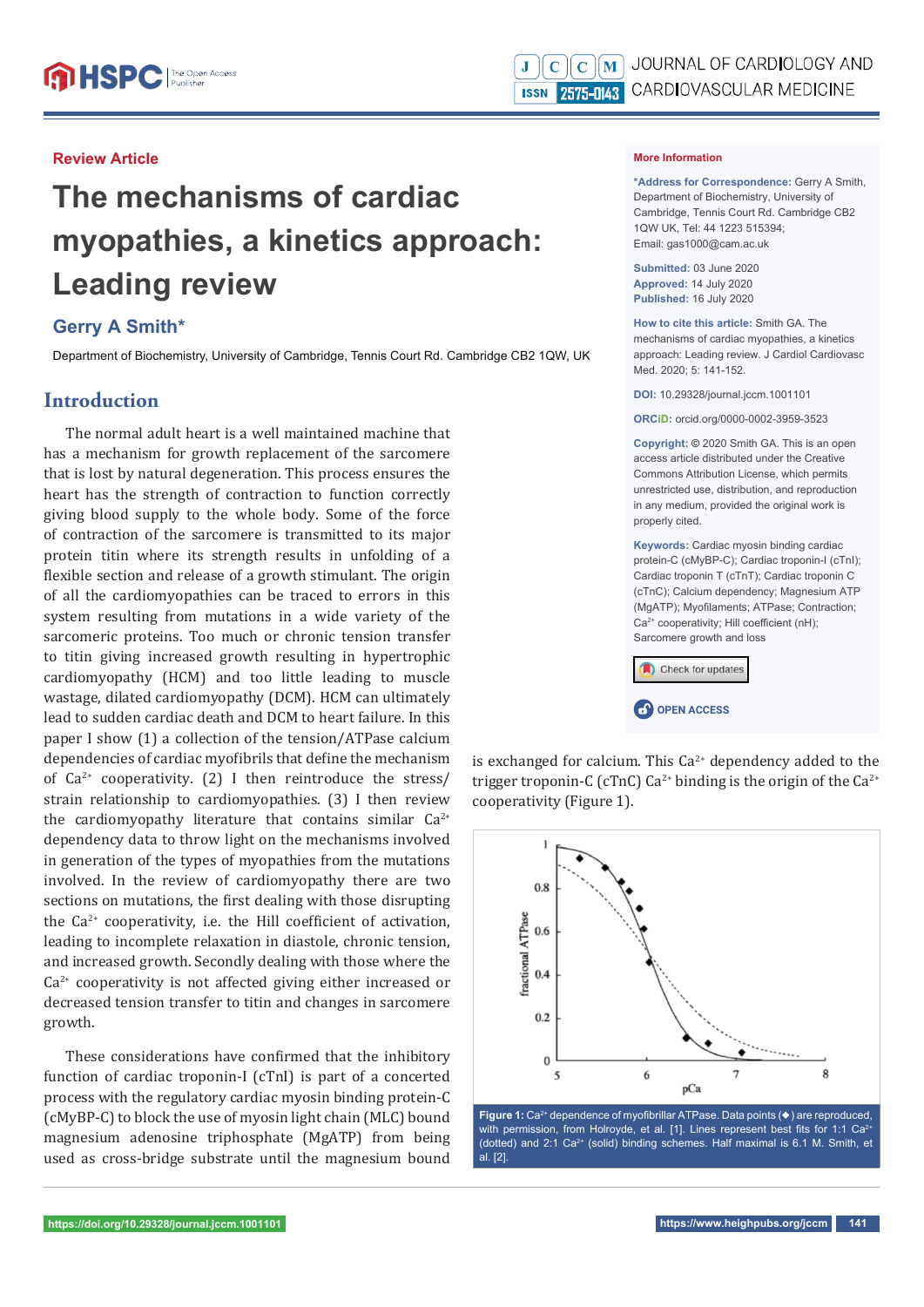## **Review Article**

# **The mechanisms of cardiac myopathies, a kinetics approach: Leading review**

# **Gerry A Smith\***

Department of Biochemistry, University of Cambridge, Tennis Court Rd. Cambridge CB2 1QW, UK

# **Introduction**

The normal adult heart is a well maintained machine that has a mechanism for growth replacement of the sarcomere that is lost by natural degeneration. This process ensures the heart has the strength of contraction to function correctly giving blood supply to the whole body. Some of the force of contraction of the sarcomere is transmitted to its major protein titin where its strength results in unfolding of a flexible section and release of a growth stimulant. The origin of all the cardiomyopathies can be traced to errors in this system resulting from mutations in a wide variety of the sarcomeric proteins. Too much or chronic tension transfer to titin giving increased growth resulting in hypertrophic cardiomyopathy (HCM) and too little leading to muscle wastage, dilated cardiomyopathy (DCM). HCM can ultimately lead to sudden cardiac death and DCM to heart failure. In this paper I show (1) a collection of the tension/ATPase calcium dependencies of cardiac myofibrils that define the mechanism of  $Ca^{2+}$  cooperativity. (2) I then reintroduce the stress/ strain relationship to cardiomyopathies. (3) I then review the cardiomyopathy literature that contains similar  $Ca^{2+}$ dependency data to throw light on the mechanisms involved in generation of the types of myopathies from the mutations involved. In the review of cardiomyopathy there are two sections on mutations, the first dealing with those disrupting the  $Ca^{2+}$  cooperativity, i.e. the Hill coefficient of activation, leading to incomplete relaxation in diastole, chronic tension, and increased growth. Secondly dealing with those where the  $Ca<sup>2+</sup>$  cooperativity is not affected giving either increased or decreased tension transfer to titin and changes in sarcomere growth.

These considerations have confirmed that the inhibitory function of cardiac troponin-I (cTnI) is part of a concerted process with the regulatory cardiac myosin binding protein-C (cMyBP-C) to block the use of myosin light chain (MLC) bound magnesium adenosine triphosphate (MgATP) from being used as cross-bridge substrate until the magnesium bound

#### **More Information**

**\*Address for Correspondence:** Gerry A Smith, Department of Biochemistry, University of Cambridge, Tennis Court Rd. Cambridge CB2 1QW UK, Tel: 44 1223 515394; Email: gas1000@cam.ac.uk

**Submitted:** 03 June 2020 **Approved:** 14 July 2020 **Published:** 16 July 2020

**How to cite this article:** Smith GA. The mechanisms of cardiac myopathies, a kinetics approach: Leading review. J Cardiol Cardiovasc Med. 2020; 5: 141-152.

**DOI:** 10.29328/journal.jccm.1001101

**ORCiD:** orcid.org/0000-0002-3959-3523

**Copyright: ©** 2020 Smith GA. This is an open access article distributed under the Creative Commons Attribution License, which permits unrestricted use, distribution, and reproduction in any medium, provided the original work is properly cited.

**Keywords:** Cardiac myosin binding cardiac protein-C (cMyBP-C); Cardiac troponin-I (cTnI); Cardiac troponin T (cTnT); Cardiac troponin C (cTnC); Calcium dependency; Magnesium ATP (MgATP): Myofilaments: ATPase: Contraction:  $Ca<sup>2+</sup>$  cooperativity; Hill coefficient (nH); Sarcomere growth and loss



is exchanged for calcium. This  $Ca^{2+}$  dependency added to the trigger troponin-C (cTnC) Ca<sup>2+</sup> binding is the origin of the Ca<sup>2+</sup> cooperativity (Figure 1).



**Figure 1:** Ca<sup>2+</sup> dependence of myofibrillar ATPase. Data points (♦) are reproduced. with permission, from Holroyde, et al. [1]. Lines represent best fits for 1:1 Ca<sup>2+</sup> (dotted) and 2:1 Ca2+ (solid) binding schemes. Half maximal is 6.1 M. Smith, et al. [2].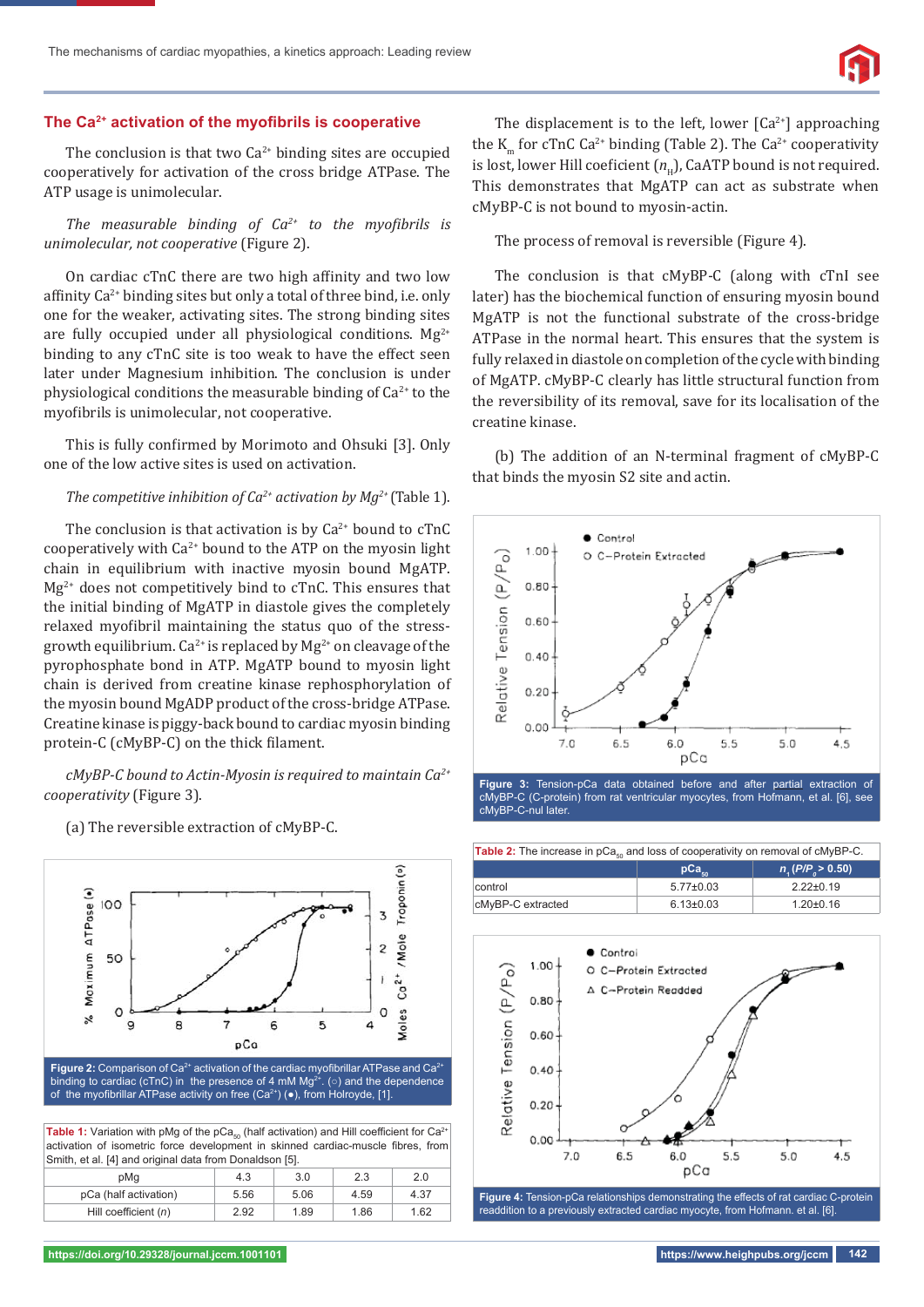# The Ca<sup>2+</sup> activation of the myofibrils is cooperative

The conclusion is that two  $Ca^{2+}$  binding sites are occupied cooperatively for activation of the cross bridge ATPase. The ATP usage is unimolecular.

*The measurable binding of Ca<sup>2+</sup> to the myofibrils is unimolecular, not cooperative* (Figure 2).

On cardiac cTnC there are two high affinity and two low affinity  $Ca^{2+}$  binding sites but only a total of three bind, i.e. only one for the weaker, activating sites. The strong binding sites are fully occupied under all physiological conditions.  $Mg^{2+}$ binding to any cTnC site is too weak to have the effect seen later under Magnesium inhibition. The conclusion is under physiological conditions the measurable binding of  $Ca<sup>2+</sup>$  to the myofibrils is unimolecular, not cooperative.

This is fully confirmed by Morimoto and Ohsuki [3]. Only one of the low active sites is used on activation.

## *The competitive inhibition of*  $Ca^{2+}$  *activation by*  $Mg^{2+}$  *(Table 1).*

The conclusion is that activation is by  $Ca^{2+}$  bound to cTnC cooperatively with  $Ca^{2+}$  bound to the ATP on the myosin light chain in equilibrium with inactive myosin bound MgATP.  $Mg^{2+}$  does not competitively bind to cTnC. This ensures that the initial binding of MgATP in diastole gives the completely relaxed myofibril maintaining the status quo of the stressgrowth equilibrium.  $Ca^{2+}$  is replaced by  $Mg^{2+}$  on cleavage of the pyrophosphate bond in ATP. MgATP bound to myosin light chain is derived from creatine kinase rephosphorylation of the myosin bound MgADP product of the cross-bridge ATPase. Creatine kinase is piggy-back bound to cardiac myosin binding protein-C (cMyBP-C) on the thick filament.

*cMyBP-C bound to Actin-Myosin is required to maintain Ca2+ cooperativity* (Figure 3).

(a) The reversible extraction of cMyBP-C.



The displacement is to the left, lower  $\lceil Ca^{2+} \rceil$  approaching the K<sub>m</sub> for cTnC Ca<sup>2+</sup> binding (Table 2). The Ca<sup>2+</sup> cooperativity is lost, lower Hill coeficient  $(n<sub>u</sub>)$ , CaATP bound is not required. This demonstrates that MgATP can act as substrate when cMyBP-C is not bound to myosin-actin.

The process of removal is reversible (Figure 4).

The conclusion is that cMyBP-C (along with cTnI see later) has the biochemical function of ensuring myosin bound MgATP is not the functional substrate of the cross-bridge ATPase in the normal heart. This ensures that the system is fully relaxed in diastole on completion of the cycle with binding of MgATP. cMyBP-C clearly has little structural function from the reversibility of its removal, save for its localisation of the creatine kinase.

(b) The addition of an N-terminal fragment of cMyBP-C that binds the myosin S2 site and actin.



**Figure 3:** Tension-pCa data obtained before and after partial extraction of cMyBP-C (C-protein) from rat ventricular myocytes, from Hofmann, et al. [6], see cMyBP-C-nul later.





readdition to a previously extracted cardiac myocyte, from Hofmann. et al. [6].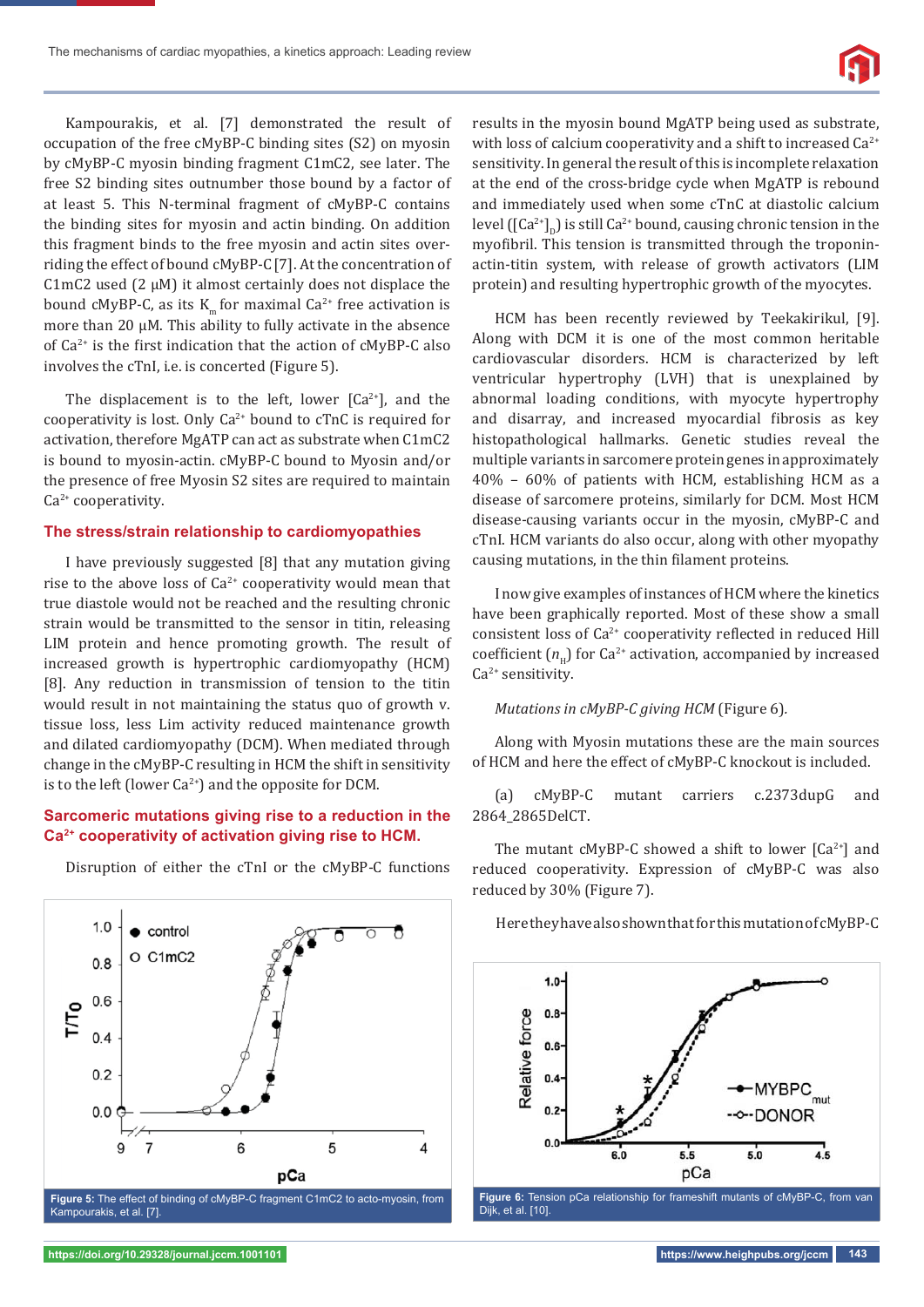

Kampourakis, et al. [7] demonstrated the result of occupation of the free cMyBP-C binding sites (S2) on myosin by cMyBP-C myosin binding fragment C1mC2, see later. The free S2 binding sites outnumber those bound by a factor of at least 5. This N-terminal fragment of cMyBP-C contains the binding sites for myosin and actin binding. On addition this fragment binds to the free myosin and actin sites overriding the effect of bound cMyBP-C[7]. At the concentration of C1mC2 used (2  $\mu$ M) it almost certainly does not displace the bound cMyBP-C, as its  $K_m$  for maximal Ca<sup>2+</sup> free activation is more than 20 μM. This ability to fully activate in the absence of  $Ca^{2+}$  is the first indication that the action of cMyBP-C also involves the cTnI, i.e. is concerted (Figure 5).

The displacement is to the left, lower  $[Ca^{2+}]$ , and the cooperativity is lost. Only  $Ca^{2+}$  bound to cTnC is required for activation, therefore MgATP can act as substrate when C1mC2 is bound to myosin-actin. cMyBP-C bound to Myosin and/or the presence of free Myosin S2 sites are required to maintain Ca<sup>2+</sup> cooperativity.

#### **The stress/strain relationship to cardiomyopathies**

I have previously suggested [8] that any mutation giving rise to the above loss of  $Ca^{2+}$  cooperativity would mean that true diastole would not be reached and the resulting chronic strain would be transmitted to the sensor in titin, releasing LIM protein and hence promoting growth. The result of increased growth is hypertrophic cardiomyopathy (HCM) [8]. Any reduction in transmission of tension to the titin would result in not maintaining the status quo of growth v. tissue loss, less Lim activity reduced maintenance growth and dilated cardiomyopathy (DCM). When mediated through change in the cMyBP-C resulting in HCM the shift in sensitivity is to the left (lower  $Ca^{2+}$ ) and the opposite for DCM.

## **Sarcomeric mutations giving rise to a reduction in the Ca2+ cooperativity of activation giving rise to HCM.**

 $1.0$  $\bullet$  control O C1mC2  $0.8$  $0.6$ ГTO  $0<sub>4</sub>$  $0.2$  $0.0$  $\overline{c}$ 6 5 4 pCa Figure 5: The effect of binding of cMyBP-C fragment C1mC2 to acto-myosin, from

Disruption of either the cTnI or the cMyBP-C functions

Kampourakis, et al. [7].

results in the myosin bound MgATP being used as substrate, with loss of calcium cooperativity and a shift to increased  $Ca^{2+}$ sensitivity. In general the result of this is incomplete relaxation at the end of the cross-bridge cycle when MgATP is rebound and immediately used when some cTnC at diastolic calcium level ( $\left[\text{Ca}^{2+}\right]_D$ ) is still Ca<sup>2+</sup> bound, causing chronic tension in the myofibril. This tension is transmitted through the troponinactin-titin system, with release of growth activators (LIM protein) and resulting hypertrophic growth of the myocytes.

HCM has been recently reviewed by Teekakirikul, [9]. Along with DCM it is one of the most common heritable cardiovascular disorders. HCM is characterized by left ventricular hypertrophy (LVH) that is unexplained by abnormal loading conditions, with myocyte hypertrophy and disarray, and increased myocardial fibrosis as key histopathological hallmarks. Genetic studies reveal the multiple variants in sarcomere protein genes in approximately 40% – 60% of patients with HCM, establishing HCM as a disease of sarcomere proteins, similarly for DCM. Most HCM disease-causing variants occur in the myosin, cMyBP-C and cTnI. HCM variants do also occur, along with other myopathy causing mutations, in the thin filament proteins.

I now give examples of instances of HCM where the kinetics have been graphically reported. Most of these show a small consistent loss of Ca<sup>2+</sup> cooperativity reflected in reduced Hill coefficient  $(n_\text{u})$  for Ca<sup>2+</sup> activation, accompanied by increased Ca<sup>2+</sup> sensitivity.

#### *Mutations in cMyBP-C giving HCM* (Figure 6)*.*

Along with Myosin mutations these are the main sources of HCM and here the effect of cMyBP-C knockout is included.

(a) cMyBP-C mutant carriers c.2373dupG and 2864\_2865DelCT.

The mutant cMyBP-C showed a shift to lower  $[Ca^{2+}]$  and reduced cooperativity. Expression of cMyBP-C was also reduced by 30% (Figure 7).

Here they have also shown that for this mutation of cMyBP-C



**https://doi.org/10.29328/journal.jccm.1001101 https://www.heighpubs.org/jccm 143**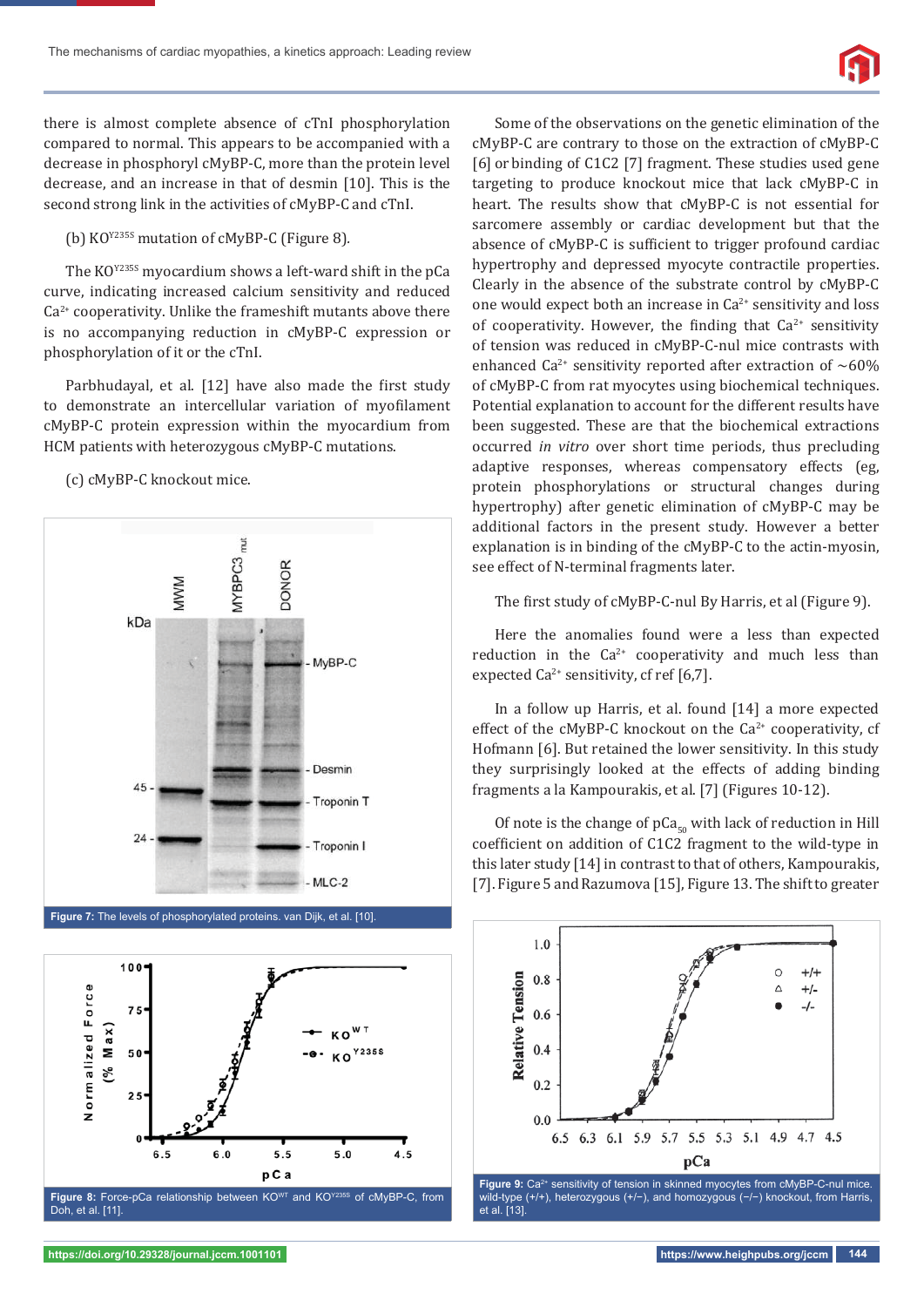

there is almost complete absence of cTnI phosphorylation compared to normal. This appears to be accompanied with a decrease in phosphoryl cMyBP-C, more than the protein level decrease, and an increase in that of desmin [10]. This is the second strong link in the activities of cMyBP-C and cTnI.

(b) KOY235S mutation of cMyBP-C (Figure 8)*.*

The KO<sup>Y235S</sup> myocardium shows a left-ward shift in the pCa curve, indicating increased calcium sensitivity and reduced  $Ca<sup>2+</sup>$  cooperativity. Unlike the frameshift mutants above there is no accompanying reduction in cMyBP-C expression or phosphorylation of it or the cTnI.

Parbhudayal, et al. [12] have also made the first study to demonstrate an intercellular variation of myofilament cMyBP-C protein expression within the myocardium from HCM patients with heterozygous cMyBP-C mutations.

(c) cMyBP-C knockout mice.





Some of the observations on the genetic elimination of the cMyBP-C are contrary to those on the extraction of cMyBP-C [6] or binding of C1C2 [7] fragment. These studies used gene targeting to produce knockout mice that lack cMyBP-C in heart. The results show that cMyBP-C is not essential for sarcomere assembly or cardiac development but that the absence of cMyBP-C is sufficient to trigger profound cardiac hypertrophy and depressed myocyte contractile properties. Clearly in the absence of the substrate control by cMyBP-C one would expect both an increase in  $Ca^{2+}$  sensitivity and loss of cooperativity. However, the finding that  $Ca^{2+}$  sensitivity of tension was reduced in cMyBP-C-nul mice contrasts with enhanced Ca<sup>2+</sup> sensitivity reported after extraction of ~60% of cMyBP-C from rat myocytes using biochemical techniques. Potential explanation to account for the different results have been suggested. These are that the biochemical extractions occurred *in vitro* over short time periods, thus precluding adaptive responses, whereas compensatory effects (eg, protein phosphorylations or structural changes during hypertrophy) after genetic elimination of cMyBP-C may be additional factors in the present study. However a better explanation is in binding of the cMyBP-C to the actin-myosin, see effect of N-terminal fragments later.

The first study of cMyBP-C-nul By Harris, et al (Figure 9).

Here the anomalies found were a less than expected reduction in the  $Ca^{2+}$  cooperativity and much less than expected  $Ca^{2+}$  sensitivity, cf ref [6,7].

In a follow up Harris, et al. found [14] a more expected effect of the cMyBP-C knockout on the  $Ca^{2+}$  cooperativity, cf Hofmann [6]. But retained the lower sensitivity. In this study they surprisingly looked at the effects of adding binding fragments a la Kampourakis, et al. [7] (Figures 10-12).

Of note is the change of  $pCa_{50}$  with lack of reduction in Hill coefficient on addition of C1C2 fragment to the wild-type in this later study [14] in contrast to that of others, Kampourakis, [7]. Figure 5 and Razumova [15], Figure 13. The shift to greater



wild-type (+/+), heterozygous (+/−), and homozygous (−/−) knockout, from Harris, et al. [13].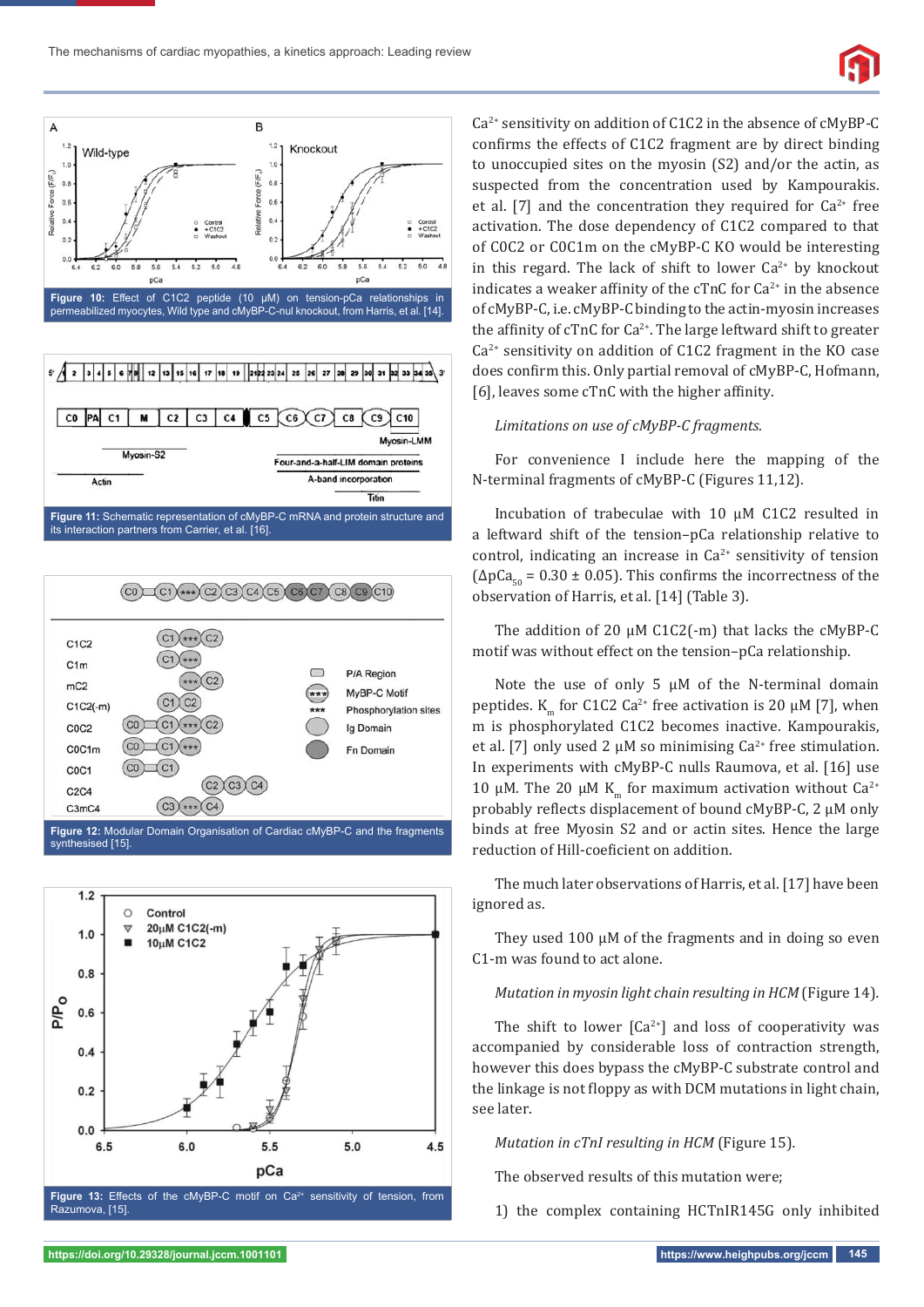



its interaction partners from Carrier, et al. [16].





Ca2+ sensitivity on addition of C1C2 in the absence of cMyBP-C confirms the effects of C1C2 fragment are by direct binding to unoccupied sites on the myosin (S2) and/or the actin, as suspected from the concentration used by Kampourakis. et al. [7] and the concentration they required for  $Ca^{2+}$  free activation. The dose dependency of C1C2 compared to that of C0C2 or C0C1m on the cMyBP-C KO would be interesting in this regard. The lack of shift to lower  $Ca^{2+}$  by knockout indicates a weaker affinity of the cTnC for  $Ca^{2+}$  in the absence of cMyBP-C, i.e. cMyBP-C binding to the actin-myosin increases the affinity of cTnC for  $Ca^{2+}$ . The large leftward shift to greater  $Ca<sup>2+</sup>$  sensitivity on addition of C1C2 fragment in the KO case does confirm this. Only partial removal of cMyBP-C, Hofmann,  $[6]$ , leaves some cTnC with the higher affinity.

#### *Limitations on use of cMyBP-C fragments.*

For convenience I include here the mapping of the N-terminal fragments of cMyBP-C (Figures 11,12).

Incubation of trabeculae with 10 μM C1C2 resulted in a leftward shift of the tension–pCa relationship relative to control, indicating an increase in  $Ca^{2+}$  sensitivity of tension  $(\Delta p Ca_{50} = 0.30 \pm 0.05)$ . This confirms the incorrectness of the observation of Harris, et al. [14] (Table 3).

The addition of 20 μM C1C2(-m) that lacks the cMyBP-C motif was without effect on the tension–pCa relationship.

Note the use of only 5  $\mu$ M of the N-terminal domain peptides. K<sub>m</sub> for C1C2 Ca<sup>2+</sup> free activation is 20 μM [7], when m is phosphorylated C1C2 becomes inactive. Kampourakis, et al. [7] only used 2  $\mu$ M so minimising Ca<sup>2+</sup> free stimulation. In experiments with cMyBP-C nulls Raumova, et al. [16] use 10 μM. The 20 μM K<sub>m</sub> for maximum activation without Ca<sup>2+</sup> probably reflects displacement of bound cMyBP-C, 2 μM only binds at free Myosin S2 and or actin sites. Hence the large reduction of Hill-coeficient on addition.

The much later observations of Harris, et al. [17] have been ignored as.

They used 100 μM of the fragments and in doing so even C1-m was found to act alone.

#### *Mutation in myosin light chain resulting in HCM* (Figure 14)*.*

The shift to lower  $\lceil Ca^{2+} \rceil$  and loss of cooperativity was accompanied by considerable loss of contraction strength, however this does bypass the cMyBP-C substrate control and the linkage is not floppy as with DCM mutations in light chain, see later.

*Mutation in cTnI resulting in HCM* (Figure 15)*.*

The observed results of this mutation were;

1) the complex containing HCTnIR145G only inhibited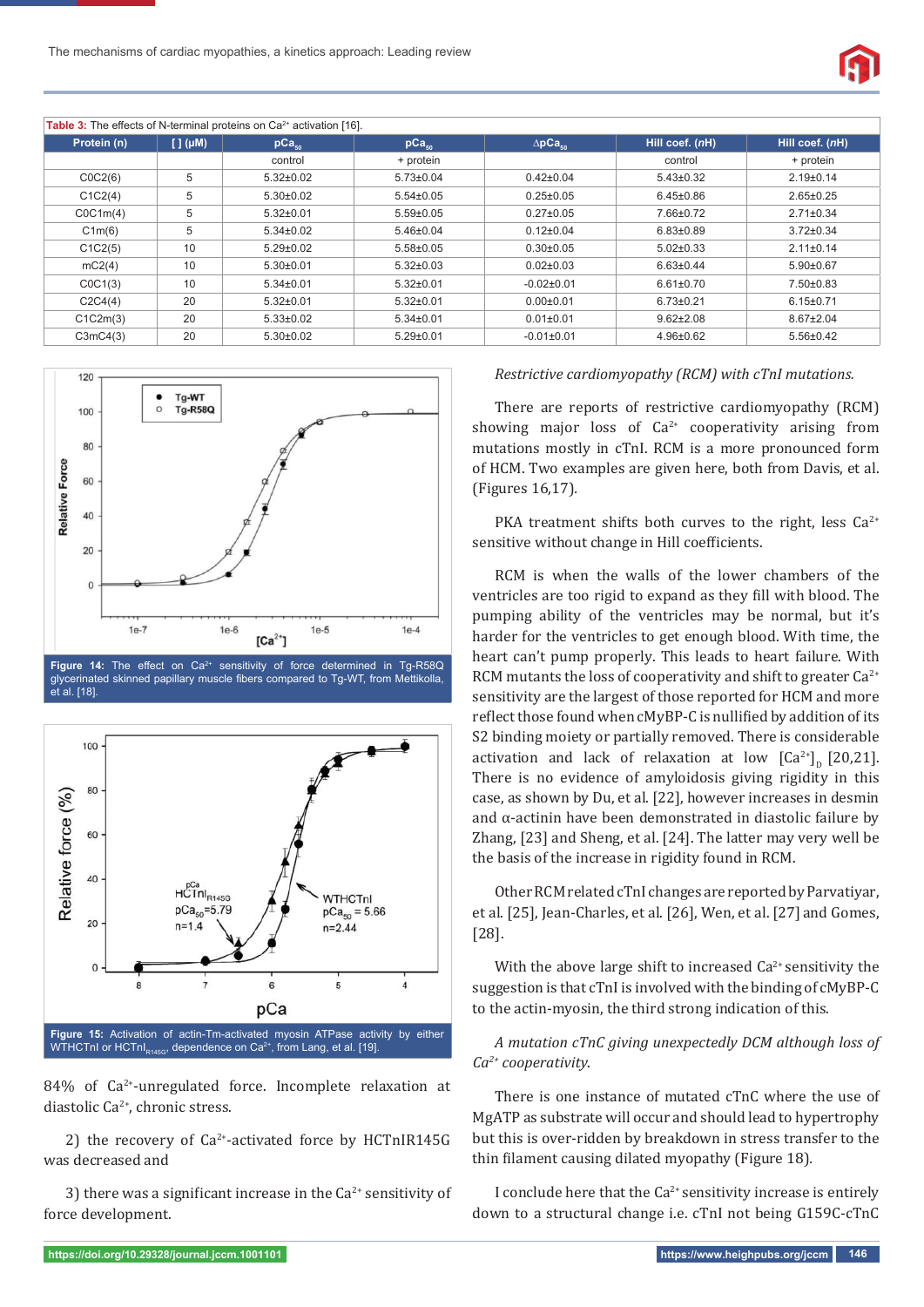

| Table 3: The effects of N-terminal proteins on Ca <sup>2+</sup> activation [16]. |                  |                   |                   |                      |                 |                  |  |  |  |
|----------------------------------------------------------------------------------|------------------|-------------------|-------------------|----------------------|-----------------|------------------|--|--|--|
| Protein (n)                                                                      | $[ ]$ ( $\mu$ M) | pCa <sub>50</sub> | pCa <sub>50</sub> | $\triangle pCa_{50}$ | Hill coef. (nH) | Hill coef. (nH), |  |  |  |
|                                                                                  |                  | control           | + protein         |                      | control         | + protein        |  |  |  |
| COC2(6)                                                                          | 5                | $5.32 \pm 0.02$   | $5.73 \pm 0.04$   | $0.42 \pm 0.04$      | $5.43 \pm 0.32$ | $2.19 \pm 0.14$  |  |  |  |
| C1C2(4)                                                                          | 5                | $5.30 \pm 0.02$   | $5.54 \pm 0.05$   | $0.25 \pm 0.05$      | $6.45 \pm 0.86$ | $2.65 \pm 0.25$  |  |  |  |
| COC1m(4)                                                                         | 5                | $5.32 \pm 0.01$   | $5.59 \pm 0.05$   | $0.27 \pm 0.05$      | 7.66±0.72       | $2.71 \pm 0.34$  |  |  |  |
| C1m(6)                                                                           | 5                | $5.34 \pm 0.02$   | $5.46 \pm 0.04$   | $0.12 \pm 0.04$      | $6.83 \pm 0.89$ | $3.72 \pm 0.34$  |  |  |  |
| C1C2(5)                                                                          | 10               | $5.29 \pm 0.02$   | $5.58 \pm 0.05$   | $0.30 \pm 0.05$      | $5.02 \pm 0.33$ | $2.11 \pm 0.14$  |  |  |  |
| mc2(4)                                                                           | 10               | $5.30 \pm 0.01$   | $5.32 \pm 0.03$   | $0.02 \pm 0.03$      | $6.63 \pm 0.44$ | $5.90 \pm 0.67$  |  |  |  |
| COC1(3)                                                                          | 10               | $5.34 \pm 0.01$   | $5.32 \pm 0.01$   | $-0.02 \pm 0.01$     | $6.61 \pm 0.70$ | $7.50 \pm 0.83$  |  |  |  |
| C2C4(4)                                                                          | 20               | $5.32 \pm 0.01$   | $5.32 \pm 0.01$   | $0.00 \pm 0.01$      | $6.73 \pm 0.21$ | $6.15 \pm 0.71$  |  |  |  |
| C1C2m(3)                                                                         | 20               | $5.33 \pm 0.02$   | $5.34 \pm 0.01$   | $0.01 \pm 0.01$      | $9.62 \pm 2.08$ | $8.67 \pm 2.04$  |  |  |  |
| C3mC4(3)                                                                         | 20               | $5.30 \pm 0.02$   | $5.29 \pm 0.01$   | $-0.01 \pm 0.01$     | $4.96 \pm 0.62$ | $5.56 \pm 0.42$  |  |  |  |



glycerinated skinned papillary muscle fibers compared to Tg-WT, from Mettikolla, et al. [18].



84% of Ca<sup>2+</sup>-unregulated force. Incomplete relaxation at diastolic Ca2+, chronic stress.

2) the recovery of  $Ca^{2+}$ -activated force by HCTnIR145G was decreased and

3) there was a significant increase in the  $Ca^{2+}$  sensitivity of force development.

#### *Restrictive cardiomyopathy (RCM) with cTnI mutations.*

There are reports of restrictive cardiomyopathy (RCM) showing major loss of  $Ca^{2+}$  cooperativity arising from mutations mostly in cTnI. RCM is a more pronounced form of HCM. Two examples are given here, both from Davis, et al. (Figures 16,17)*.*

PKA treatment shifts both curves to the right, less  $Ca^{2+}$ sensitive without change in Hill coefficients.

RCM is when the walls of the lower chambers of the ventricles are too rigid to expand as they fill with blood. The pumping ability of the ventricles may be normal, but it's harder for the ventricles to get enough blood. With time, the heart can't pump properly. This leads to heart failure. With RCM mutants the loss of cooperativity and shift to greater  $Ca^{2+}$ sensitivity are the largest of those reported for HCM and more reflect those found when cMyBP-C is nullified by addition of its S2 binding moiety or partially removed. There is considerable activation and lack of relaxation at low  $\left[Ca^{2+}\right]_D$  [20,21]. There is no evidence of amyloidosis giving rigidity in this case, as shown by Du, et al. [22], however increases in desmin and  $\alpha$ -actinin have been demonstrated in diastolic failure by Zhang, [23] and Sheng, et al. [24]. The latter may very well be the basis of the increase in rigidity found in RCM.

Other RCM related cTnI changes are reported by Parvatiyar, et al. [25], Jean-Charles, et al. [26], Wen, et al. [27] and Gomes, [28].

With the above large shift to increased  $Ca<sup>2+</sup>$  sensitivity the suggestion is that cTnI is involved with the binding of cMyBP-C to the actin-myosin, the third strong indication of this.

*A mutation cTnC giving unexpectedly DCM although loss of Ca2+ cooperativity*.

There is one instance of mutated cTnC where the use of MgATP as substrate will occur and should lead to hypertrophy but this is over-ridden by breakdown in stress transfer to the thin filament causing dilated myopathy (Figure 18).

I conclude here that the  $Ca^{2+}$  sensitivity increase is entirely down to a structural change i.e. cTnI not being G159C-cTnC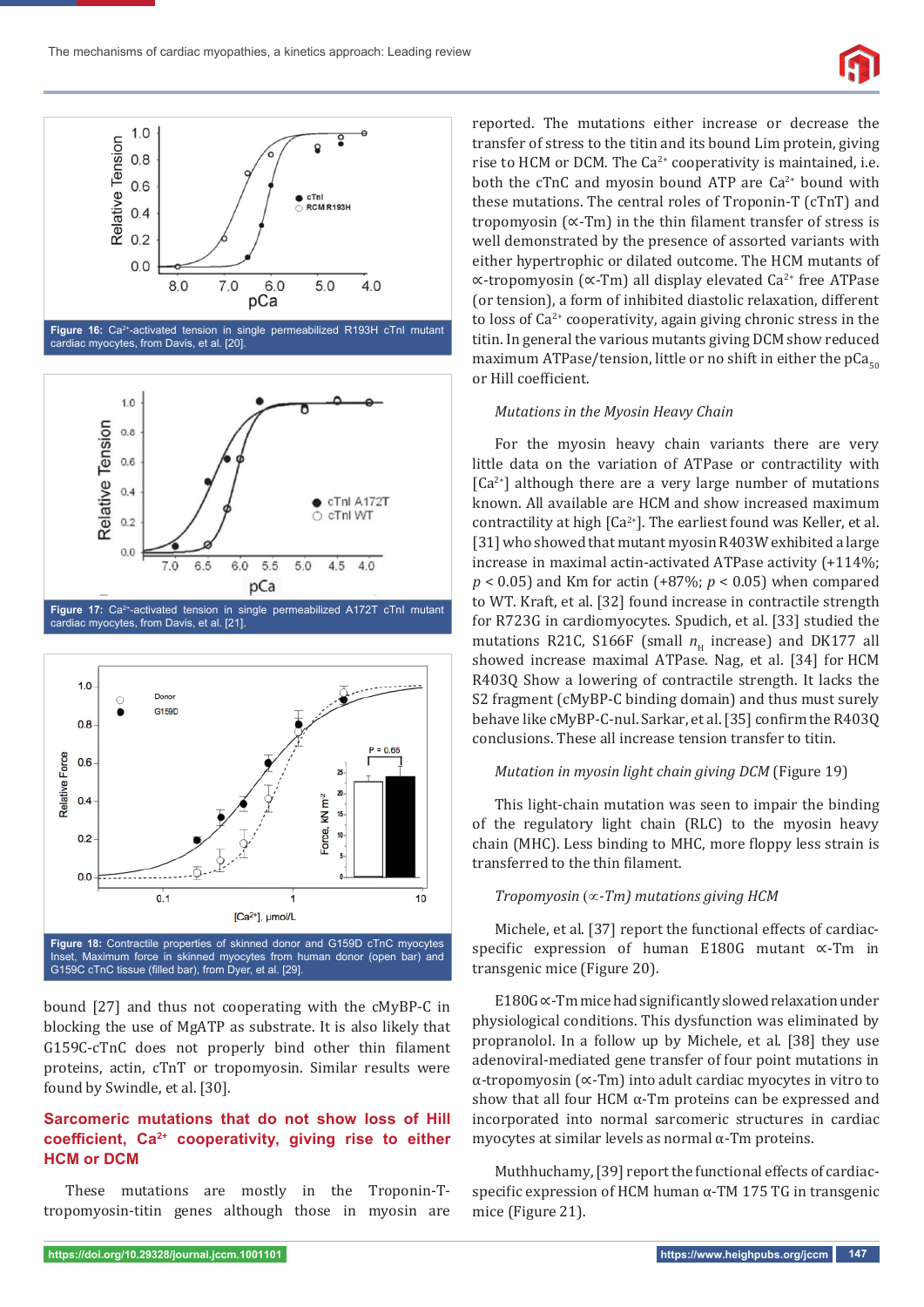

**Figure 16:** Ca2+-activated tension in single permeabilized R193H cTnI mutant cardiac myocytes, from Davis, et al. [20].





bound [27] and thus not cooperating with the cMyBP-C in blocking the use of MgATP as substrate. It is also likely that G159C-cTnC does not properly bind other thin filament proteins, actin, cTnT or tropomyosin. Similar results were found by Swindle, et al. [30].

# **Sarcomeric mutations that do not show loss of Hill**  coefficient, Ca<sup>2+</sup> cooperativity, giving rise to either **HCM or DCM**

These mutations are mostly in the Troponin-Ttropomyosin-titin genes although those in myosin are reported. The mutations either increase or decrease the transfer of stress to the titin and its bound Lim protein, giving rise to HCM or DCM. The  $Ca^{2+}$  cooperativity is maintained, i.e. both the cTnC and myosin bound ATP are  $Ca^{2+}$  bound with these mutations. The central roles of Troponin-T (cTnT) and tropomyosin  $({\infty}$ -Tm) in the thin filament transfer of stress is well demonstrated by the presence of assorted variants with either hypertrophic or dilated outcome. The HCM mutants of ∝-tropomyosin (∝-Tm) all display elevated Ca2+ free ATPase (or tension), a form of inhibited diastolic relaxation, different to loss of  $Ca<sup>2+</sup>$  cooperativity, again giving chronic stress in the titin. In general the various mutants giving DCM show reduced maximum ATPase/tension, little or no shift in either the  $pCa<sub>50</sub>$ or Hill coefficient.

#### *Mutations in the Myosin Heavy Chain*

For the myosin heavy chain variants there are very little data on the variation of ATPase or contractility with  $[Ca<sup>2+</sup>]$  although there are a very large number of mutations known. All available are HCM and show increased maximum contractility at high  $[Ca^{2+}]$ . The earliest found was Keller, et al. [31] who showed that mutant myosin R403W exhibited a large increase in maximal actin-activated ATPase activity (+114%; *p* < 0.05) and Km for actin (+87%; *p* < 0.05) when compared to WT. Kraft, et al. [32] found increase in contractile strength for R723G in cardiomyocytes. Spudich, et al. [33] studied the mutations R21C, S166F (small  $n<sub>H</sub>$  increase) and DK177 all showed increase maximal ATPase. Nag, et al. [34] for HCM R403Q Show a lowering of contractile strength. It lacks the S2 fragment (cMyBP-C binding domain) and thus must surely behave like cMyBP-C-nul. Sarkar, et al. [35] confirm the R403Q conclusions. These all increase tension transfer to titin.

### *Mutation in myosin light chain giving DCM* (Figure 19)

This light-chain mutation was seen to impair the binding of the regulatory light chain (RLC) to the myosin heavy chain (MHC). Less binding to MHC, more floppy less strain is transferred to the thin filament.

#### *Tropomyosin* ( $\propto$ -Tm) mutations giving HCM

Michele, et al. [37] report the functional effects of cardiacspecific expression of human E180G mutant ∝-Tm in transgenic mice (Figure 20).

E180G ∝-Tm mice had significantly slowed relaxation under physiological conditions. This dysfunction was eliminated by propranolol. In a follow up by Michele, et al. [38] they use adenoviral-mediated gene transfer of four point mutations in α-tropomyosin (∝-Tm) into adult cardiac myocytes in vitro to show that all four HCM  $\alpha$ -Tm proteins can be expressed and incorporated into normal sarcomeric structures in cardiac myocytes at similar levels as normal  $\alpha$ -Tm proteins.

Muthhuchamy, [39] report the functional effects of cardiacspecific expression of HCM human  $\alpha$ -TM 175 TG in transgenic mice (Figure 21).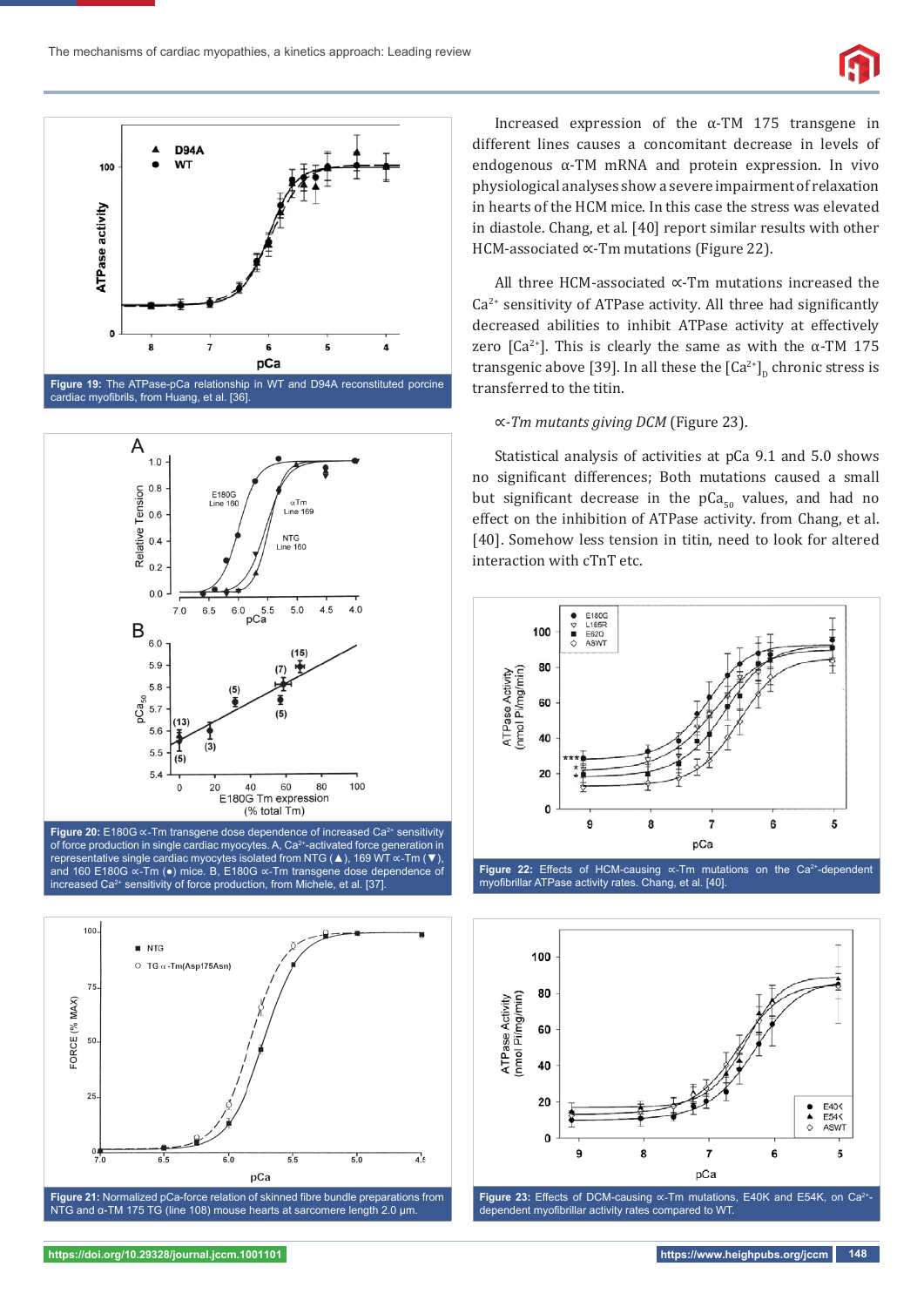



**Figure 19:** The ATPase-pCa relationship in WT and D94A reconstituted porcine cardiac myofibrils, from Huang, et al. [36]



**Figure 20:** E180G ∝-Tm transgene dose dependence of increased Ca2+ sensitivity of force production in single cardiac myocytes. A, Ca2+-activated force generation in representative single cardiac myocytes isolated from NTG (▲), 169 WT ∝-Tm (▼), and 160 E180G ∝-Tm (●) mice. B, E180G ∝-Tm transgene dose dependence of increased Ca<sup>2+</sup> sensitivity of force production, from Michele, et al. [37].



NTG and α-TM 175 TG (line 108) mouse hearts at sarcomere length 2.0 μm.

Increased expression of the α-TM 175 transgene in different lines causes a concomitant decrease in levels of endogenous α-TM mRNA and protein expression. In vivo physiological analyses show a severe impairment of relaxation in hearts of the HCM mice. In this case the stress was elevated in diastole. Chang, et al. [40] report similar results with other HCM-associated ∝-Tm mutations (Figure 22).

All three HCM-associated ∝-Tm mutations increased the  $Ca<sup>2+</sup>$  sensitivity of ATPase activity. All three had significantly decreased abilities to inhibit ATPase activity at effectively zero  $[Ca^{2+}]$ . This is clearly the same as with the  $\alpha$ -TM 175 transgenic above [39]. In all these the  $\left[Ca^{2+}\right]_0$  chronic stress is transferred to the titin.

#### ∝*-Tm mutants giving DCM* (Figure 23).

Statistical analysis of activities at pCa 9.1 and 5.0 shows no significant differences; Both mutations caused a small but significant decrease in the  $pCa<sub>50</sub>$  values, and had no effect on the inhibition of ATPase activity. from Chang, et al. [40]. Somehow less tension in titin, need to look for altered interaction with cTnT etc.



Figure 22: Effects of HCM-causing «-Tm mutations on the Ca<sup>2+</sup>-dependent myofibrillar ATPase activity rates. Chang, et al. [40].



Figure 23: Effects of DCM-causing «-Tm mutations, E40K and E54K, on Ca<sup>2+</sup>dependent myofibrillar activity rates compared to WT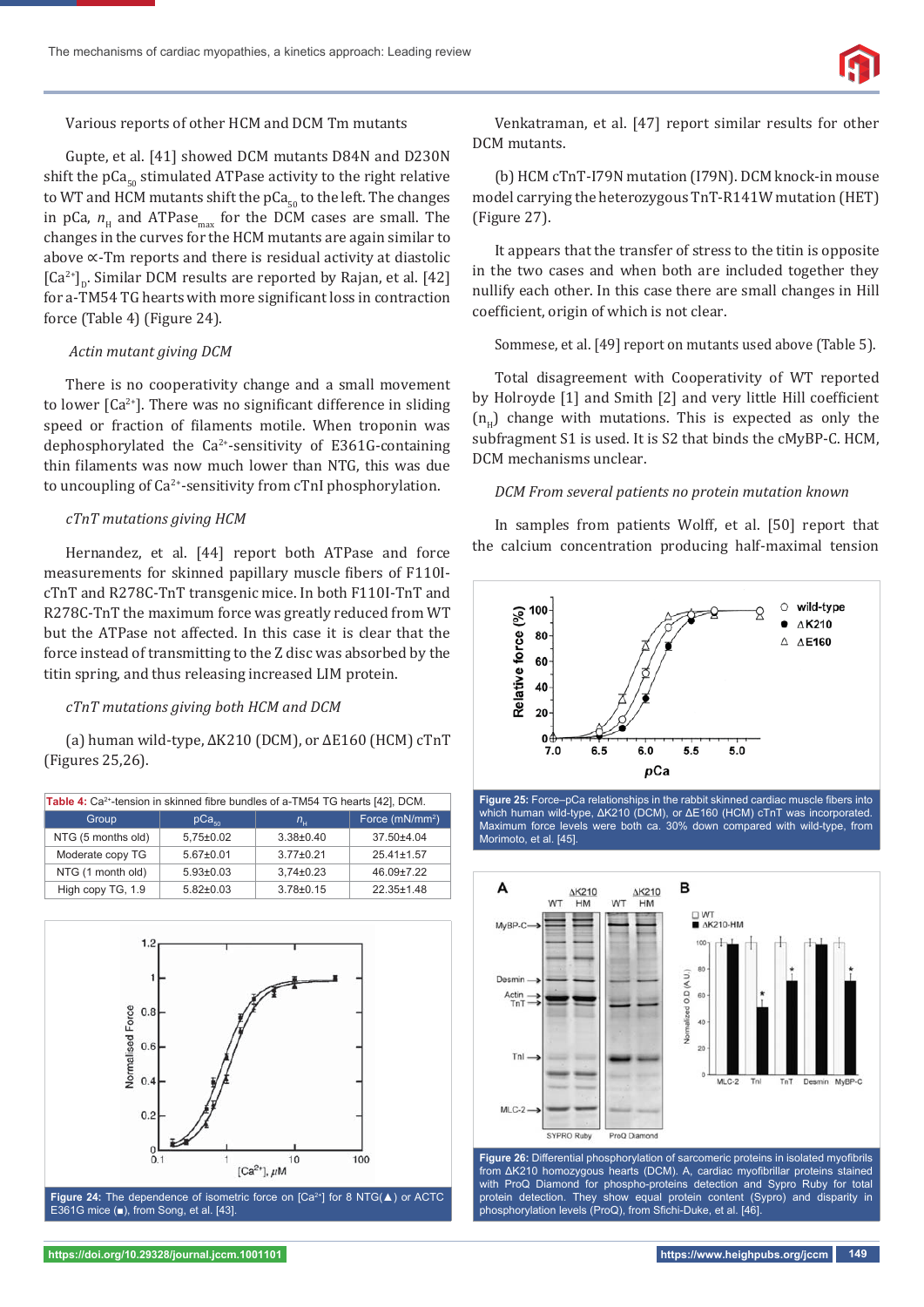

#### Various reports of other HCM and DCM Tm mutants

Gupte, et al. [41] showed DCM mutants D84N and D230N shift the  $pCa<sub>co</sub>$  stimulated ATPase activity to the right relative to WT and HCM mutants shift the  $pCa<sub>50</sub>$  to the left. The changes in pCa,  $n_{\rm H}$  and ATPase<sub>max</sub> for the DCM cases are small. The changes in the curves for the HCM mutants are again similar to above ∝-Tm reports and there is residual activity at diastolic  $[Ga<sup>2+</sup>]$ <sub>n</sub>. Similar DCM results are reported by Rajan, et al. [42] for a-TM54 TG hearts with more significant loss in contraction force (Table 4) (Figure 24).

#### *Actin mutant giving DCM*

There is no cooperativity change and a small movement to lower  $[Ca^{2+}]$ . There was no significant difference in sliding speed or fraction of filaments motile. When troponin was dephosphorylated the  $Ca^{2+}$ -sensitivity of E361G-containing thin filaments was now much lower than NTG, this was due to uncoupling of Ca<sup>2+</sup>-sensitivity from cTnI phosphorylation.

#### *cTnT mutations giving HCM*

Hernandez, et al. [44] report both ATPase and force measurements for skinned papillary muscle fibers of F110IcTnT and R278C-TnT transgenic mice. In both F110I-TnT and R278C-TnT the maximum force was greatly reduced from WT but the ATPase not affected. In this case it is clear that the force instead of transmitting to the Z disc was absorbed by the titin spring, and thus releasing increased LIM protein.

## *cTnT mutations giving both HCM and DCM*

(a) human wild-type, ΔK210 (DCM), or ΔE160 (HCM) cTnT (Figures 25,26).

| Table 4: Ca <sup>2+</sup> -tension in skinned fibre bundles of a-TM54 TG hearts [42], DCM. |                   |                 |                             |  |  |  |  |  |
|--------------------------------------------------------------------------------------------|-------------------|-----------------|-----------------------------|--|--|--|--|--|
| Group                                                                                      | pCa <sub>so</sub> | $n_{\rm H}$     | Force (mN/mm <sup>2</sup> ) |  |  |  |  |  |
| NTG (5 months old)                                                                         | $5,75\pm0.02$     | $3.38 \pm 0.40$ | $37.50 + 4.04$              |  |  |  |  |  |
| Moderate copy TG                                                                           | $5.67 \pm 0.01$   | $3.77 \pm 0.21$ | $25.41 \pm 1.57$            |  |  |  |  |  |
| NTG (1 month old)                                                                          | $5.93 \pm 0.03$   | $3.74 \pm 0.23$ | $46.09 \pm 7.22$            |  |  |  |  |  |
| High copy TG, 1.9                                                                          | $5.82 \pm 0.03$   | $3.78 \pm 0.15$ | $22.35 \pm 1.48$            |  |  |  |  |  |



Venkatraman, et al. [47] report similar results for other DCM mutants.

(b) HCM cTnT-I79N mutation (I79N). DCM knock-in mouse model carrying the heterozygous TnT-R141W mutation (HET) (Figure 27).

It appears that the transfer of stress to the titin is opposite in the two cases and when both are included together they nullify each other. In this case there are small changes in Hill coefficient, origin of which is not clear.

Sommese, et al. [49] report on mutants used above (Table 5).

Total disagreement with Cooperativity of WT reported by Holroyde [1] and Smith [2] and very little Hill coefficient  $(n_n)$  change with mutations. This is expected as only the subfragment S1 is used. It is S2 that binds the cMyBP-C. HCM, DCM mechanisms unclear.

## *DCM From several patients no protein mutation known*

In samples from patients Wolff, et al. [50] report that the calcium concentration producing half-maximal tension



Figure 25: Force-pCa relationships in the rabbit skinned cardiac muscle fibers into which human wild-type, ΔK210 (DCM), or ΔE160 (HCM) cTnT was incorporated. Maximum force levels were both ca. 30% down compared with wild-type, from Morimoto, et al. [45].



from ΔK210 homozygous hearts (DCM). A, cardiac myofibrillar proteins stained with ProQ Diamond for phospho-proteins detection and Sypro Ruby for total protein detection. They show equal protein content (Sypro) and disparity in phosphorylation levels (ProQ), from Sfichi-Duke, et al. [46]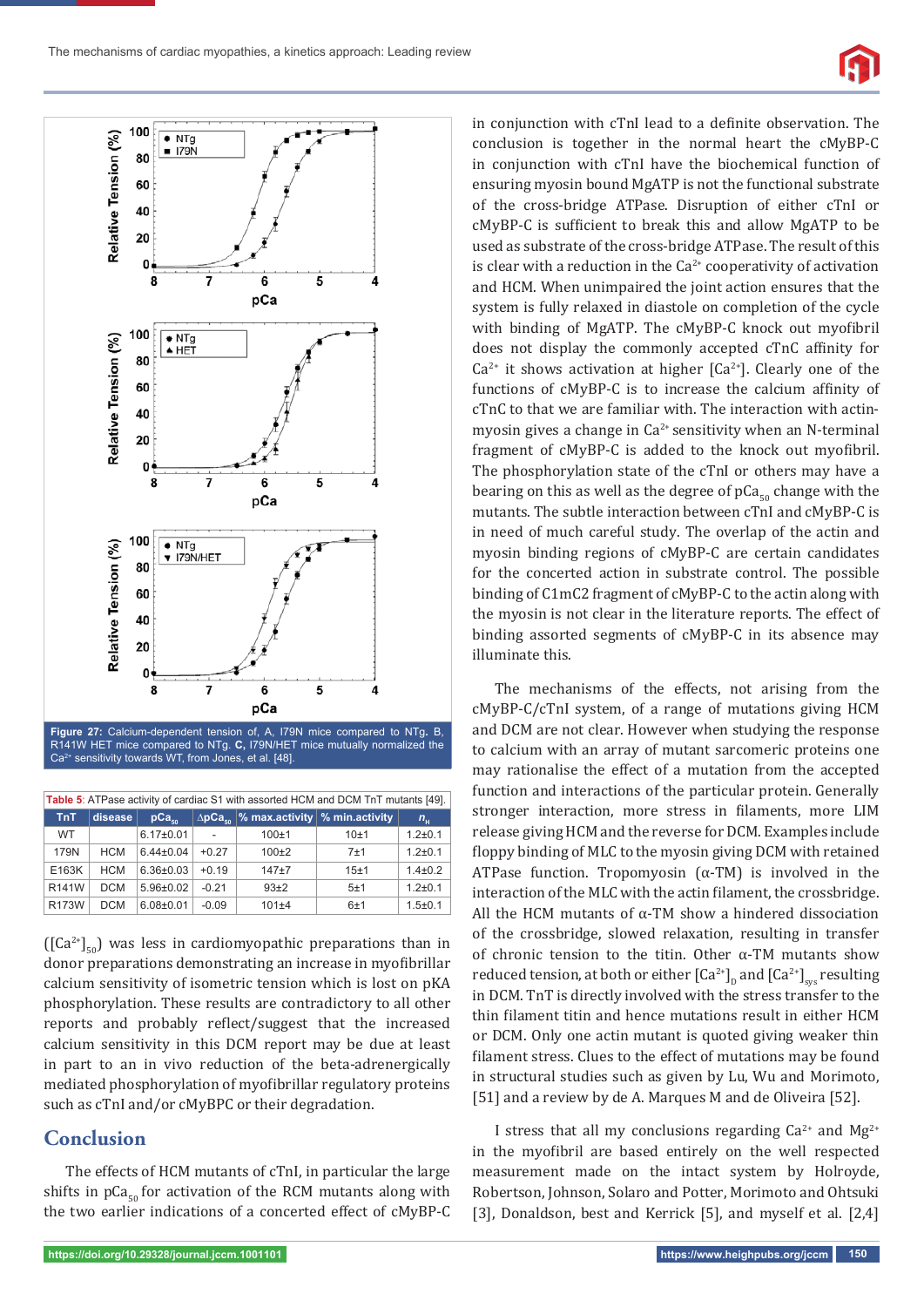



**Figure 27:** Calcium-dependent tension of, A, I79N mice compared to NTg**.** B, R141W HET mice compared to NTg. **C,** I79N/HET mice mutually normalized the Ca2+ sensitivity towards WT, from Jones, et al. [48].

| Table 5: ATPase activity of cardiac S1 with assorted HCM and DCM TnT mutants [49]. |            |                   |         |           |                                                           |               |  |  |  |
|------------------------------------------------------------------------------------|------------|-------------------|---------|-----------|-----------------------------------------------------------|---------------|--|--|--|
| TnT                                                                                | disease    | pCa <sub>en</sub> |         |           | $\Delta p$ Ca <sub>so</sub> % max.activity % min.activity | $n_{\rm H}$   |  |  |  |
| <b>WT</b>                                                                          |            | $6.17 \pm 0.01$   |         | $100 + 1$ | 10±1                                                      | $1.2 + 0.1$   |  |  |  |
| 179N                                                                               | <b>HCM</b> | $6.44 \pm 0.04$   | $+0.27$ | $100\pm2$ | 7±1                                                       | $1.2 \pm 0.1$ |  |  |  |
| E163K                                                                              | <b>HCM</b> | $6.36 \pm 0.03$   | $+0.19$ | $147+7$   | 15±1                                                      | $1.4 \pm 0.2$ |  |  |  |
| R141W                                                                              | <b>DCM</b> | $5.96 \pm 0.02$   | $-0.21$ | $93+2$    | 5±1                                                       | $1.2 \pm 0.1$ |  |  |  |
| <b>R173W</b>                                                                       | <b>DCM</b> | $6.08 \pm 0.01$   | $-0.09$ | 101±4     | 6±1                                                       | $1.5 \pm 0.1$ |  |  |  |

 $([Ca<sup>2+</sup>]_{50})$  was less in cardiomyopathic preparations than in donor preparations demonstrating an increase in myofibrillar calcium sensitivity of isometric tension which is lost on pKA phosphorylation. These results are contradictory to all other reports and probably reflect/suggest that the increased calcium sensitivity in this DCM report may be due at least in part to an in vivo reduction of the beta-adrenergically mediated phosphorylation of myofibrillar regulatory proteins such as cTnI and/or cMyBPC or their degradation.

# **Conclusion**

The effects of HCM mutants of cTnI, in particular the large shifts in  $pCa<sub>50</sub>$  for activation of the RCM mutants along with the two earlier indications of a concerted effect of cMyBP-C

conclusion is together in the normal heart the cMyBP-C in conjunction with cTnI have the biochemical function of ensuring myosin bound MgATP is not the functional substrate of the cross-bridge ATPase. Disruption of either cTnI or cMyBP-C is sufficient to break this and allow MgATP to be used as substrate of the cross-bridge ATPase. The result of this is clear with a reduction in the  $Ca^{2+}$  cooperativity of activation and HCM. When unimpaired the joint action ensures that the system is fully relaxed in diastole on completion of the cycle with binding of MgATP. The cMyBP-C knock out myofibril does not display the commonly accepted cTnC affinity for  $Ca^{2+}$  it shows activation at higher  $[Ca^{2+}]$ . Clearly one of the functions of cMyBP-C is to increase the calcium affinity of cTnC to that we are familiar with. The interaction with actinmyosin gives a change in  $Ca^{2+}$  sensitivity when an N-terminal fragment of cMyBP-C is added to the knock out myofibril. The phosphorylation state of the cTnI or others may have a bearing on this as well as the degree of  $pCa<sub>50</sub>$  change with the mutants. The subtle interaction between cTnI and cMyBP-C is in need of much careful study. The overlap of the actin and myosin binding regions of cMyBP-C are certain candidates for the concerted action in substrate control. The possible binding of C1mC2 fragment of cMyBP-C to the actin along with the myosin is not clear in the literature reports. The effect of binding assorted segments of cMyBP-C in its absence may illuminate this.

in conjunction with cTnI lead to a definite observation. The

The mechanisms of the effects, not arising from the cMyBP-C/cTnI system, of a range of mutations giving HCM and DCM are not clear. However when studying the response to calcium with an array of mutant sarcomeric proteins one may rationalise the effect of a mutation from the accepted function and interactions of the particular protein. Generally stronger interaction, more stress in filaments, more LIM release giving HCM and the reverse for DCM. Examples include floppy binding of MLC to the myosin giving DCM with retained ATPase function. Tropomyosin  $(\alpha$ -TM) is involved in the interaction of the MLC with the actin filament, the crossbridge. All the HCM mutants of  $\alpha$ -TM show a hindered dissociation of the crossbridge, slowed relaxation, resulting in transfer of chronic tension to the titin. Other α-TM mutants show reduced tension, at both or either  $\left[Ca^{2+}\right]_{D}$  and  $\left[Ca^{2+}\right]_{sys}$  resulting in DCM. TnT is directly involved with the stress transfer to the thin filament titin and hence mutations result in either HCM or DCM. Only one actin mutant is quoted giving weaker thin filament stress. Clues to the effect of mutations may be found in structural studies such as given by Lu, Wu and Morimoto, [51] and a review by de A. Marques M and de Oliveira [52].

I stress that all my conclusions regarding  $Ca^{2+}$  and  $Mg^{2+}$ in the myofibril are based entirely on the well respected measurement made on the intact system by Holroyde, Robertson, Johnson, Solaro and Potter, Morimoto and Ohtsuki [3], Donaldson, best and Kerrick [5], and myself et al. [2,4]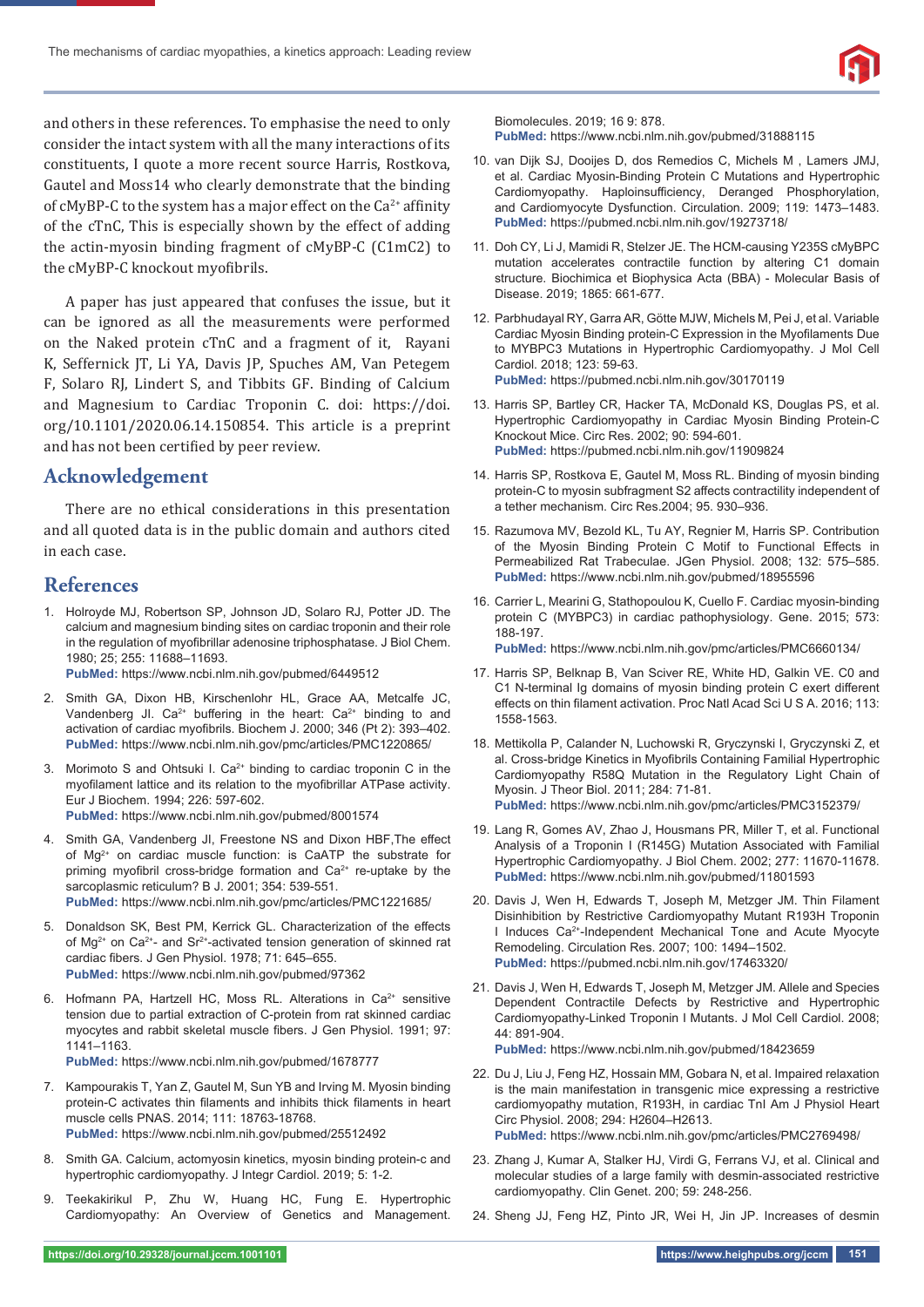and others in these references. To emphasise the need to only consider the intact system with all the many interactions of its constituents, I quote a more recent source Harris, Rostkova, Gautel and Moss14 who clearly demonstrate that the binding of cMyBP-C to the system has a major effect on the  $Ca^{2+}$  affinity of the cTnC, This is especially shown by the effect of adding the actin-myosin binding fragment of cMyBP-C (C1mC2) to the cMyBP-C knockout myofibrils.

A paper has just appeared that confuses the issue, but it can be ignored as all the measurements were performed on the Naked protein cTnC and a fragment of it, Rayani K, Seffernick JT, Li YA, Davis JP, Spuches AM, Van Petegem F, Solaro RJ, Lindert S, and Tibbits GF. Binding of Calcium and Magnesium to Cardiac Troponin C. doi: https://doi. org/10.1101/2020.06.14.150854. This article is a preprint and has not been certified by peer review.

# **Acknowledgement**

There are no ethical considerations in this presentation and all quoted data is in the public domain and authors cited in each case.

# **References**

1. Holroyde MJ, Robertson SP, Johnson JD, Solaro RJ, Potter JD. The calcium and magnesium binding sites on cardiac troponin and their role in the regulation of myofibrillar adenosine triphosphatase. J Biol Chem. 1980; 25; 255: 11688–11693.

**PubMed:** https://www.ncbi.nlm.nih.gov/pubmed/6449512

- 2. Smith GA, Dixon HB, Kirschenlohr HL, Grace AA, Metcalfe JC, Vandenberg Jl.  $Ca^{2+}$  buffering in the heart:  $Ca^{2+}$  binding to and activation of cardiac myofibrils. Biochem J. 2000; 346 (Pt 2): 393-402. **PubMed:** https://www.ncbi.nlm.nih.gov/pmc/articles/PMC1220865/
- 3. Morimoto S and Ohtsuki I. Ca<sup>2+</sup> binding to cardiac troponin C in the myofilament lattice and its relation to the myofibrillar ATPase activity. Eur J Biochem. 1994; 226: 597-602. **PubMed:** https://www.ncbi.nlm.nih.gov/pubmed/8001574
- 4. Smith GA, Vandenberg JI, Freestone NS and Dixon HBF, The effect of Mg<sup>2+</sup> on cardiac muscle function: is CaATP the substrate for priming myofibril cross-bridge formation and  $Ca<sup>2+</sup>$  re-uptake by the sarcoplasmic reticulum? B J. 2001; 354: 539-551. **PubMed:** https://www.ncbi.nlm.nih.gov/pmc/articles/PMC1221685/
- 5. Donaldson SK, Best PM, Kerrick GL. Characterization of the effects of Mg<sup>2+</sup> on Ca<sup>2+</sup>- and Sr<sup>2+</sup>-activated tension generation of skinned rat cardiac fibers. J Gen Physiol. 1978; 71: 645-655. **PubMed:** https://www.ncbi.nlm.nih.gov/pubmed/97362
- 6. Hofmann PA, Hartzell HC, Moss RL. Alterations in Ca<sup>2+</sup> sensitive tension due to partial extraction of C-protein from rat skinned cardiac myocytes and rabbit skeletal muscle fibers. J Gen Physiol. 1991; 97: 1141–1163.

**PubMed:** https://www.ncbi.nlm.nih.gov/pubmed/1678777

- 7. Kampourakis T, Yan Z, Gautel M, Sun YB and Irving M. Myosin binding protein-C activates thin filaments and inhibits thick filaments in heart muscle cells PNAS. 2014; 111: 18763-18768. **PubMed:** https://www.ncbi.nlm.nih.gov/pubmed/25512492
- 8. Smith GA. Calcium, actomyosin kinetics, myosin binding protein-c and hypertrophic cardiomyopathy. J Integr Cardiol. 2019; 5: 1-2.
- 9. Teekakirikul P, Zhu W, Huang HC, Fung E. Hypertrophic Cardiomyopathy: An Overview of Genetics and Management.

Biomolecules. 2019; 16 9: 878.

**PubMed:** https://www.ncbi.nlm.nih.gov/pubmed/31888115

- 10. van Dijk SJ, Dooijes D, dos Remedios C, Michels M , Lamers JMJ, et al. Cardiac Myosin-Binding Protein C Mutations and Hypertrophic Cardiomyopathy. Haploinsufficiency, Deranged Phosphorylation, and Cardiomyocyte Dysfunction. Circulation. 2009; 119: 1473–1483. **PubMed:** https://pubmed.ncbi.nlm.nih.gov/19273718/
- 11. Doh CY, Li J, Mamidi R, Stelzer JE. The HCM-causing Y235S cMyBPC mutation accelerates contractile function by altering C1 domain structure. Biochimica et Biophysica Acta (BBA) - Molecular Basis of Disease. 2019; 1865: 661-677.
- 12. Parbhudayal RY, Garra AR, Götte MJW, Michels M, Pei J, et al. Variable Cardiac Myosin Binding protein-C Expression in the Myofilaments Due to MYBPC3 Mutations in Hypertrophic Cardiomyopathy. J Mol Cell Cardiol. 2018; 123: 59-63. **PubMed:** https://pubmed.ncbi.nlm.nih.gov/30170119
- 13. Harris SP, Bartley CR, Hacker TA, McDonald KS, Douglas PS, et al. Hypertrophic Cardiomyopathy in Cardiac Myosin Binding Protein-C Knockout Mice. Circ Res. 2002; 90: 594-601. **PubMed:** https://pubmed.ncbi.nlm.nih.gov/11909824
- 14. Harris SP, Rostkova E, Gautel M, Moss RL. Binding of myosin binding protein-C to myosin subfragment S2 affects contractility independent of a tether mechanism. Circ Res.2004; 95. 930–936.
- 15. Razumova MV, Bezold KL, Tu AY, Regnier M, Harris SP. Contribution of the Myosin Binding Protein C Motif to Functional Effects in Permeabilized Rat Trabeculae. JGen Physiol. 2008; 132: 575–585. **PubMed:** https://www.ncbi.nlm.nih.gov/pubmed/18955596
- 16. Carrier L, Mearini G, Stathopoulou K, Cuello F. Cardiac myosin-binding protein C (MYBPC3) in cardiac pathophysiology. Gene. 2015; 573: 188-197. **PubMed:** https://www.ncbi.nlm.nih.gov/pmc/articles/PMC6660134/
- 17. Harris SP, Belknap B, Van Sciver RE, White HD, Galkin VE. C0 and C1 N-terminal Ig domains of myosin binding protein C exert different effects on thin filament activation. Proc Natl Acad Sci U S A. 2016; 113: 1558-1563.
- 18. Mettikolla P, Calander N, Luchowski R, Gryczynski I, Gryczynski Z, et al. Cross-bridge Kinetics in Myofibrils Containing Familial Hypertrophic Cardiomyopathy R58Q Mutation in the Regulatory Light Chain of Myosin. J Theor Biol. 2011; 284: 71-81. **PubMed:** https://www.ncbi.nlm.nih.gov/pmc/articles/PMC3152379/
- 19. Lang R, Gomes AV, Zhao J, Housmans PR, Miller T, et al. Functional Analysis of a Troponin I (R145G) Mutation Associated with Familial Hypertrophic Cardiomyopathy. J Biol Chem. 2002; 277: 11670-11678. **PubMed:** https://www.ncbi.nlm.nih.gov/pubmed/11801593
- 20. Davis J, Wen H, Edwards T, Joseph M, Metzger JM. Thin Filament Disinhibition by Restrictive Cardiomyopathy Mutant R193H Troponin I Induces Ca2+-Independent Mechanical Tone and Acute Myocyte Remodeling. Circulation Res. 2007; 100: 1494–1502. **PubMed:** https://pubmed.ncbi.nlm.nih.gov/17463320/
- 21. Davis J, Wen H, Edwards T, Joseph M, Metzger JM. Allele and Species Dependent Contractile Defects by Restrictive and Hypertrophic Cardiomyopathy-Linked Troponin I Mutants. J Mol Cell Cardiol. 2008; 44: 891-904.

**PubMed:** https://www.ncbi.nlm.nih.gov/pubmed/18423659

- 22. Du J, Liu J, Feng HZ, Hossain MM, Gobara N, et al. Impaired relaxation is the main manifestation in transgenic mice expressing a restrictive cardiomyopathy mutation, R193H, in cardiac TnI Am J Physiol Heart Circ Physiol. 2008; 294: H2604–H2613. **PubMed:** https://www.ncbi.nlm.nih.gov/pmc/articles/PMC2769498/
- 23. Zhang J, Kumar A, Stalker HJ, Virdi G, Ferrans VJ, et al. Clinical and molecular studies of a large family with desmin-associated restrictive cardiomyopathy. Clin Genet. 200; 59: 248-256.
- 24. Sheng JJ, Feng HZ, Pinto JR, Wei H, Jin JP. Increases of desmin